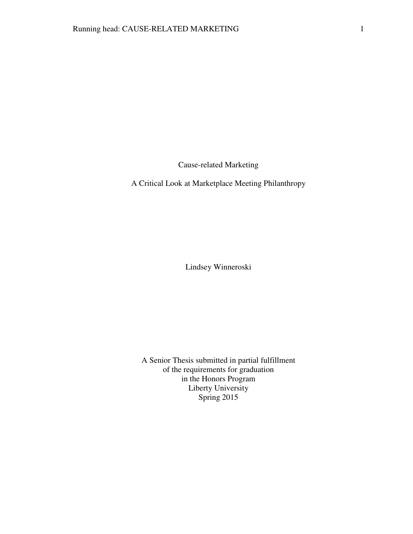Cause-related Marketing

A Critical Look at Marketplace Meeting Philanthropy

Lindsey Winneroski

A Senior Thesis submitted in partial fulfillment of the requirements for graduation in the Honors Program Liberty University Spring 2015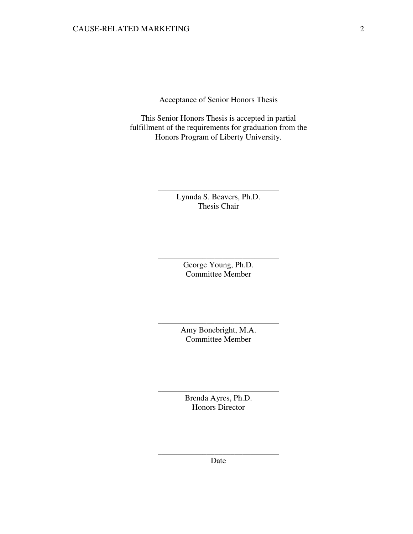Acceptance of Senior Honors Thesis

This Senior Honors Thesis is accepted in partial fulfillment of the requirements for graduation from the Honors Program of Liberty University.

> Lynnda S. Beavers, Ph.D. Thesis Chair

\_\_\_\_\_\_\_\_\_\_\_\_\_\_\_\_\_\_\_\_\_\_\_\_\_\_\_\_\_\_

George Young, Ph.D. Committee Member

\_\_\_\_\_\_\_\_\_\_\_\_\_\_\_\_\_\_\_\_\_\_\_\_\_\_\_\_\_\_

Amy Bonebright, M.A. Committee Member

\_\_\_\_\_\_\_\_\_\_\_\_\_\_\_\_\_\_\_\_\_\_\_\_\_\_\_\_\_\_

Brenda Ayres, Ph.D. Honors Director

\_\_\_\_\_\_\_\_\_\_\_\_\_\_\_\_\_\_\_\_\_\_\_\_\_\_\_\_\_\_

\_\_\_\_\_\_\_\_\_\_\_\_\_\_\_\_\_\_\_\_\_\_\_\_\_\_\_\_\_\_ Date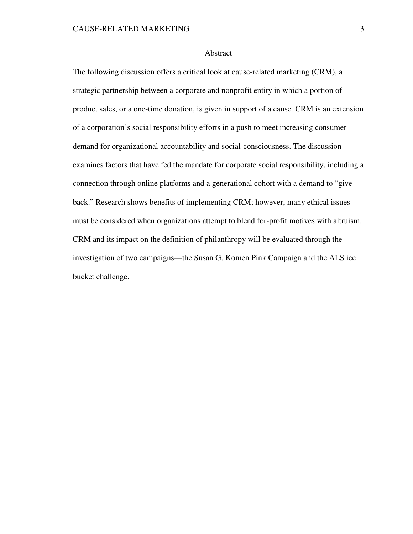## Abstract

The following discussion offers a critical look at cause-related marketing (CRM), a strategic partnership between a corporate and nonprofit entity in which a portion of product sales, or a one-time donation, is given in support of a cause. CRM is an extension of a corporation's social responsibility efforts in a push to meet increasing consumer demand for organizational accountability and social-consciousness. The discussion examines factors that have fed the mandate for corporate social responsibility, including a connection through online platforms and a generational cohort with a demand to "give back." Research shows benefits of implementing CRM; however, many ethical issues must be considered when organizations attempt to blend for-profit motives with altruism. CRM and its impact on the definition of philanthropy will be evaluated through the investigation of two campaigns—the Susan G. Komen Pink Campaign and the ALS ice bucket challenge.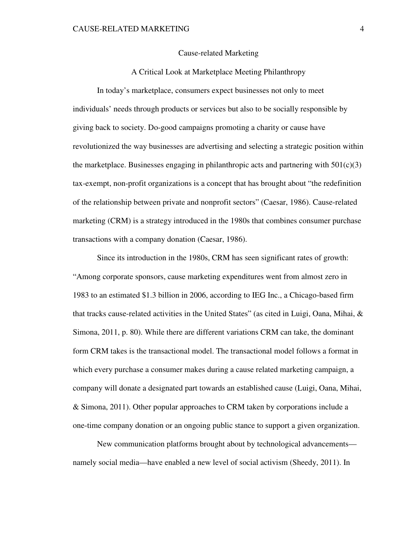## Cause-related Marketing

# A Critical Look at Marketplace Meeting Philanthropy

In today's marketplace, consumers expect businesses not only to meet individuals' needs through products or services but also to be socially responsible by giving back to society. Do-good campaigns promoting a charity or cause have revolutionized the way businesses are advertising and selecting a strategic position within the marketplace. Businesses engaging in philanthropic acts and partnering with  $501(c)(3)$ tax-exempt, non-profit organizations is a concept that has brought about "the redefinition of the relationship between private and nonprofit sectors" (Caesar, 1986). Cause-related marketing (CRM) is a strategy introduced in the 1980s that combines consumer purchase transactions with a company donation (Caesar, 1986).

Since its introduction in the 1980s, CRM has seen significant rates of growth: "Among corporate sponsors, cause marketing expenditures went from almost zero in 1983 to an estimated \$1.3 billion in 2006, according to IEG Inc., a Chicago-based firm that tracks cause-related activities in the United States" (as cited in Luigi, Oana, Mihai, & Simona, 2011, p. 80). While there are different variations CRM can take, the dominant form CRM takes is the transactional model. The transactional model follows a format in which every purchase a consumer makes during a cause related marketing campaign, a company will donate a designated part towards an established cause (Luigi, Oana, Mihai, & Simona, 2011). Other popular approaches to CRM taken by corporations include a one-time company donation or an ongoing public stance to support a given organization.

New communication platforms brought about by technological advancements namely social media—have enabled a new level of social activism (Sheedy, 2011). In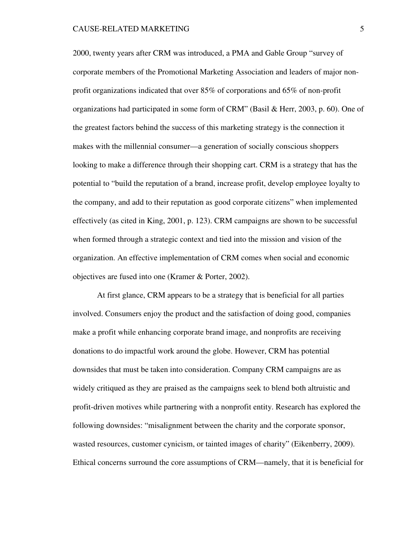2000, twenty years after CRM was introduced, a PMA and Gable Group "survey of corporate members of the Promotional Marketing Association and leaders of major nonprofit organizations indicated that over 85% of corporations and 65% of non-profit organizations had participated in some form of CRM" (Basil & Herr, 2003, p. 60). One of the greatest factors behind the success of this marketing strategy is the connection it makes with the millennial consumer—a generation of socially conscious shoppers looking to make a difference through their shopping cart. CRM is a strategy that has the potential to "build the reputation of a brand, increase profit, develop employee loyalty to the company, and add to their reputation as good corporate citizens" when implemented effectively (as cited in King, 2001, p. 123). CRM campaigns are shown to be successful when formed through a strategic context and tied into the mission and vision of the organization. An effective implementation of CRM comes when social and economic objectives are fused into one (Kramer & Porter, 2002).

At first glance, CRM appears to be a strategy that is beneficial for all parties involved. Consumers enjoy the product and the satisfaction of doing good, companies make a profit while enhancing corporate brand image, and nonprofits are receiving donations to do impactful work around the globe. However, CRM has potential downsides that must be taken into consideration. Company CRM campaigns are as widely critiqued as they are praised as the campaigns seek to blend both altruistic and profit-driven motives while partnering with a nonprofit entity. Research has explored the following downsides: "misalignment between the charity and the corporate sponsor, wasted resources, customer cynicism, or tainted images of charity" (Eikenberry, 2009). Ethical concerns surround the core assumptions of CRM—namely, that it is beneficial for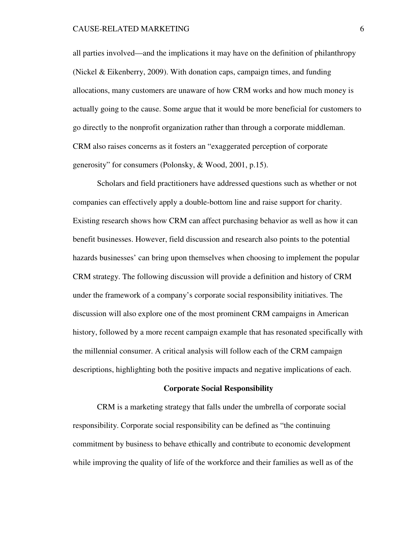#### CAUSE-RELATED MARKETING 6

all parties involved—and the implications it may have on the definition of philanthropy (Nickel & Eikenberry, 2009). With donation caps, campaign times, and funding allocations, many customers are unaware of how CRM works and how much money is actually going to the cause. Some argue that it would be more beneficial for customers to go directly to the nonprofit organization rather than through a corporate middleman. CRM also raises concerns as it fosters an "exaggerated perception of corporate generosity" for consumers (Polonsky, & Wood, 2001, p.15).

Scholars and field practitioners have addressed questions such as whether or not companies can effectively apply a double-bottom line and raise support for charity. Existing research shows how CRM can affect purchasing behavior as well as how it can benefit businesses. However, field discussion and research also points to the potential hazards businesses' can bring upon themselves when choosing to implement the popular CRM strategy. The following discussion will provide a definition and history of CRM under the framework of a company's corporate social responsibility initiatives. The discussion will also explore one of the most prominent CRM campaigns in American history, followed by a more recent campaign example that has resonated specifically with the millennial consumer. A critical analysis will follow each of the CRM campaign descriptions, highlighting both the positive impacts and negative implications of each.

#### **Corporate Social Responsibility**

CRM is a marketing strategy that falls under the umbrella of corporate social responsibility. Corporate social responsibility can be defined as "the continuing commitment by business to behave ethically and contribute to economic development while improving the quality of life of the workforce and their families as well as of the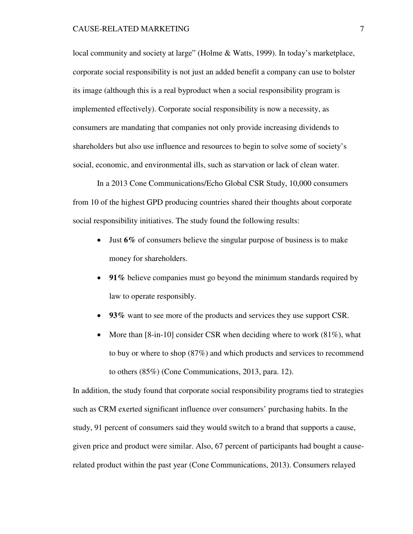local community and society at large" (Holme & Watts, 1999). In today's marketplace, corporate social responsibility is not just an added benefit a company can use to bolster its image (although this is a real byproduct when a social responsibility program is implemented effectively). Corporate social responsibility is now a necessity, as consumers are mandating that companies not only provide increasing dividends to shareholders but also use influence and resources to begin to solve some of society's social, economic, and environmental ills, such as starvation or lack of clean water.

In a 2013 Cone Communications/Echo Global CSR Study, 10,000 consumers from 10 of the highest GPD producing countries shared their thoughts about corporate social responsibility initiatives. The study found the following results:

- Just  $6\%$  of consumers believe the singular purpose of business is to make money for shareholders.
- **91%** believe companies must go beyond the minimum standards required by law to operate responsibly.
- **93%** want to see more of the products and services they use support CSR.
- More than  $[8\text{-}in\text{-}10]$  consider CSR when deciding where to work  $(81\%)$ , what to buy or where to shop (87%) and which products and services to recommend to others (85%) (Cone Communications, 2013, para. 12).

In addition, the study found that corporate social responsibility programs tied to strategies such as CRM exerted significant influence over consumers' purchasing habits. In the study, 91 percent of consumers said they would switch to a brand that supports a cause, given price and product were similar. Also, 67 percent of participants had bought a causerelated product within the past year (Cone Communications, 2013). Consumers relayed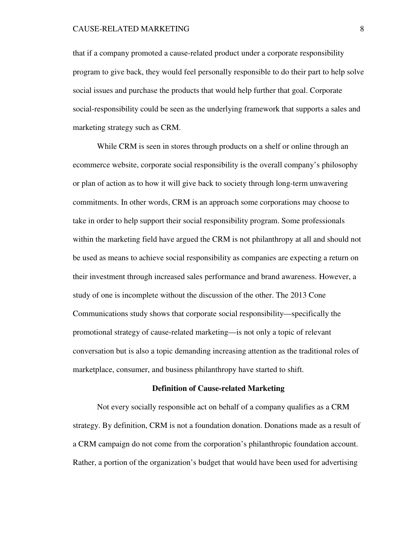### CAUSE-RELATED MARKETING 8

that if a company promoted a cause-related product under a corporate responsibility program to give back, they would feel personally responsible to do their part to help solve social issues and purchase the products that would help further that goal. Corporate social-responsibility could be seen as the underlying framework that supports a sales and marketing strategy such as CRM.

While CRM is seen in stores through products on a shelf or online through an ecommerce website, corporate social responsibility is the overall company's philosophy or plan of action as to how it will give back to society through long-term unwavering commitments. In other words, CRM is an approach some corporations may choose to take in order to help support their social responsibility program. Some professionals within the marketing field have argued the CRM is not philanthropy at all and should not be used as means to achieve social responsibility as companies are expecting a return on their investment through increased sales performance and brand awareness. However, a study of one is incomplete without the discussion of the other. The 2013 Cone Communications study shows that corporate social responsibility—specifically the promotional strategy of cause-related marketing—is not only a topic of relevant conversation but is also a topic demanding increasing attention as the traditional roles of marketplace, consumer, and business philanthropy have started to shift.

#### **Definition of Cause-related Marketing**

Not every socially responsible act on behalf of a company qualifies as a CRM strategy. By definition, CRM is not a foundation donation. Donations made as a result of a CRM campaign do not come from the corporation's philanthropic foundation account. Rather, a portion of the organization's budget that would have been used for advertising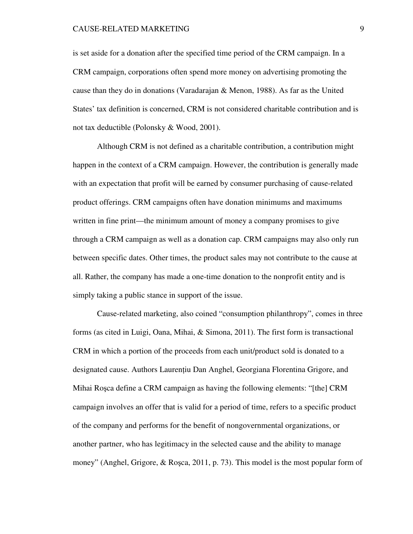### CAUSE-RELATED MARKETING 9

is set aside for a donation after the specified time period of the CRM campaign. In a CRM campaign, corporations often spend more money on advertising promoting the cause than they do in donations (Varadarajan & Menon, 1988). As far as the United States' tax definition is concerned, CRM is not considered charitable contribution and is not tax deductible (Polonsky & Wood, 2001).

Although CRM is not defined as a charitable contribution, a contribution might happen in the context of a CRM campaign. However, the contribution is generally made with an expectation that profit will be earned by consumer purchasing of cause-related product offerings. CRM campaigns often have donation minimums and maximums written in fine print—the minimum amount of money a company promises to give through a CRM campaign as well as a donation cap. CRM campaigns may also only run between specific dates. Other times, the product sales may not contribute to the cause at all. Rather, the company has made a one-time donation to the nonprofit entity and is simply taking a public stance in support of the issue.

Cause-related marketing, also coined "consumption philanthropy", comes in three forms (as cited in Luigi, Oana, Mihai, & Simona, 2011). The first form is transactional CRM in which a portion of the proceeds from each unit/product sold is donated to a designated cause. Authors Laurentiu Dan Anghel, Georgiana Florentina Grigore, and Mihai Roşca define a CRM campaign as having the following elements: "[the] CRM campaign involves an offer that is valid for a period of time, refers to a specific product of the company and performs for the benefit of nongovernmental organizations, or another partner, who has legitimacy in the selected cause and the ability to manage money" (Anghel, Grigore, & Roşca, 2011, p. 73). This model is the most popular form of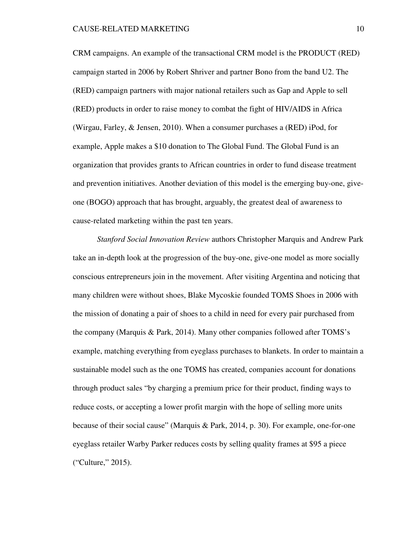CRM campaigns. An example of the transactional CRM model is the PRODUCT (RED) campaign started in 2006 by Robert Shriver and partner Bono from the band U2. The (RED) campaign partners with major national retailers such as Gap and Apple to sell (RED) products in order to raise money to combat the fight of HIV/AIDS in Africa (Wirgau, Farley, & Jensen, 2010). When a consumer purchases a (RED) iPod, for example, Apple makes a \$10 donation to The Global Fund. The Global Fund is an organization that provides grants to African countries in order to fund disease treatment and prevention initiatives. Another deviation of this model is the emerging buy-one, giveone (BOGO) approach that has brought, arguably, the greatest deal of awareness to cause-related marketing within the past ten years.

*Stanford Social Innovation Review* authors Christopher Marquis and Andrew Park take an in-depth look at the progression of the buy-one, give-one model as more socially conscious entrepreneurs join in the movement. After visiting Argentina and noticing that many children were without shoes, Blake Mycoskie founded TOMS Shoes in 2006 with the mission of donating a pair of shoes to a child in need for every pair purchased from the company (Marquis & Park, 2014). Many other companies followed after TOMS's example, matching everything from eyeglass purchases to blankets. In order to maintain a sustainable model such as the one TOMS has created, companies account for donations through product sales "by charging a premium price for their product, finding ways to reduce costs, or accepting a lower profit margin with the hope of selling more units because of their social cause" (Marquis & Park, 2014, p. 30). For example, one-for-one eyeglass retailer Warby Parker reduces costs by selling quality frames at \$95 a piece ("Culture," 2015).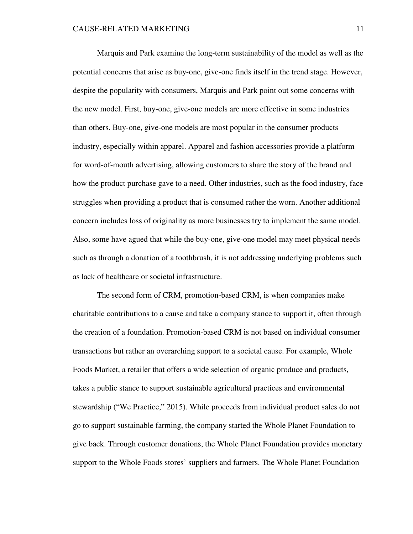Marquis and Park examine the long-term sustainability of the model as well as the potential concerns that arise as buy-one, give-one finds itself in the trend stage. However, despite the popularity with consumers, Marquis and Park point out some concerns with the new model. First, buy-one, give-one models are more effective in some industries than others. Buy-one, give-one models are most popular in the consumer products industry, especially within apparel. Apparel and fashion accessories provide a platform for word-of-mouth advertising, allowing customers to share the story of the brand and how the product purchase gave to a need. Other industries, such as the food industry, face struggles when providing a product that is consumed rather the worn. Another additional concern includes loss of originality as more businesses try to implement the same model. Also, some have agued that while the buy-one, give-one model may meet physical needs such as through a donation of a toothbrush, it is not addressing underlying problems such as lack of healthcare or societal infrastructure.

The second form of CRM, promotion-based CRM, is when companies make charitable contributions to a cause and take a company stance to support it, often through the creation of a foundation. Promotion-based CRM is not based on individual consumer transactions but rather an overarching support to a societal cause. For example, Whole Foods Market, a retailer that offers a wide selection of organic produce and products, takes a public stance to support sustainable agricultural practices and environmental stewardship ("We Practice," 2015). While proceeds from individual product sales do not go to support sustainable farming, the company started the Whole Planet Foundation to give back. Through customer donations, the Whole Planet Foundation provides monetary support to the Whole Foods stores' suppliers and farmers. The Whole Planet Foundation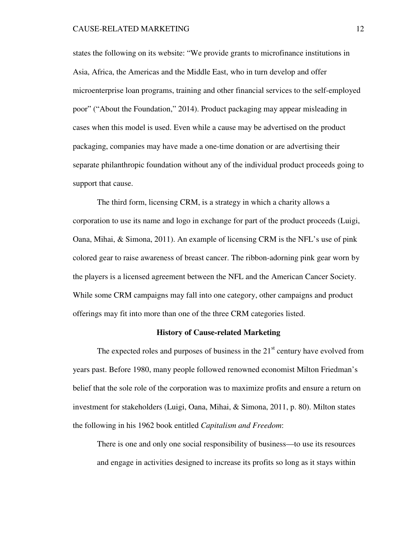states the following on its website: "We provide grants to microfinance institutions in Asia, Africa, the Americas and the Middle East, who in turn develop and offer microenterprise loan programs, training and other financial services to the self-employed poor" ("About the Foundation," 2014). Product packaging may appear misleading in cases when this model is used. Even while a cause may be advertised on the product packaging, companies may have made a one-time donation or are advertising their separate philanthropic foundation without any of the individual product proceeds going to support that cause.

The third form, licensing CRM, is a strategy in which a charity allows a corporation to use its name and logo in exchange for part of the product proceeds (Luigi, Oana, Mihai, & Simona, 2011). An example of licensing CRM is the NFL's use of pink colored gear to raise awareness of breast cancer. The ribbon-adorning pink gear worn by the players is a licensed agreement between the NFL and the American Cancer Society. While some CRM campaigns may fall into one category, other campaigns and product offerings may fit into more than one of the three CRM categories listed.

#### **History of Cause-related Marketing**

The expected roles and purposes of business in the  $21<sup>st</sup>$  century have evolved from years past. Before 1980, many people followed renowned economist Milton Friedman's belief that the sole role of the corporation was to maximize profits and ensure a return on investment for stakeholders (Luigi, Oana, Mihai, & Simona, 2011, p. 80). Milton states the following in his 1962 book entitled *Capitalism and Freedom*:

There is one and only one social responsibility of business—to use its resources and engage in activities designed to increase its profits so long as it stays within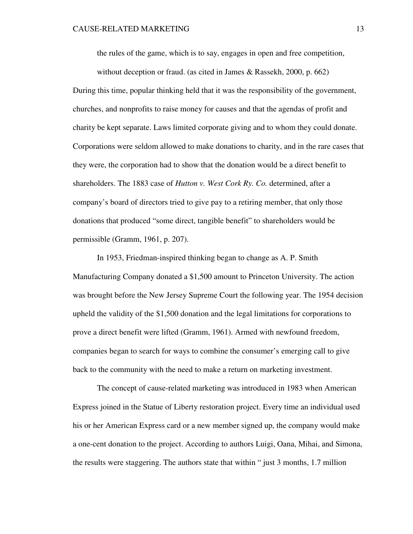the rules of the game, which is to say, engages in open and free competition,

without deception or fraud. (as cited in James & Rassekh, 2000, p. 662) During this time, popular thinking held that it was the responsibility of the government, churches, and nonprofits to raise money for causes and that the agendas of profit and charity be kept separate. Laws limited corporate giving and to whom they could donate. Corporations were seldom allowed to make donations to charity, and in the rare cases that they were, the corporation had to show that the donation would be a direct benefit to shareholders. The 1883 case of *Hutton v. West Cork Ry. Co.* determined, after a company's board of directors tried to give pay to a retiring member, that only those donations that produced "some direct, tangible benefit" to shareholders would be permissible (Gramm, 1961, p. 207).

In 1953, Friedman-inspired thinking began to change as A. P. Smith Manufacturing Company donated a \$1,500 amount to Princeton University. The action was brought before the New Jersey Supreme Court the following year. The 1954 decision upheld the validity of the \$1,500 donation and the legal limitations for corporations to prove a direct benefit were lifted (Gramm, 1961). Armed with newfound freedom, companies began to search for ways to combine the consumer's emerging call to give back to the community with the need to make a return on marketing investment.

The concept of cause-related marketing was introduced in 1983 when American Express joined in the Statue of Liberty restoration project. Every time an individual used his or her American Express card or a new member signed up, the company would make a one-cent donation to the project. According to authors Luigi, Oana, Mihai, and Simona, the results were staggering. The authors state that within " just 3 months, 1.7 million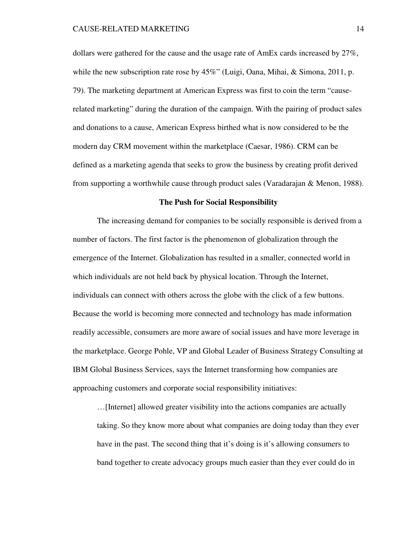dollars were gathered for the cause and the usage rate of AmEx cards increased by 27%, while the new subscription rate rose by 45%" (Luigi, Oana, Mihai, & Simona, 2011, p. 79). The marketing department at American Express was first to coin the term "causerelated marketing" during the duration of the campaign. With the pairing of product sales and donations to a cause, American Express birthed what is now considered to be the modern day CRM movement within the marketplace (Caesar, 1986). CRM can be defined as a marketing agenda that seeks to grow the business by creating profit derived from supporting a worthwhile cause through product sales (Varadarajan & Menon, 1988).

## **The Push for Social Responsibility**

The increasing demand for companies to be socially responsible is derived from a number of factors. The first factor is the phenomenon of globalization through the emergence of the Internet. Globalization has resulted in a smaller, connected world in which individuals are not held back by physical location. Through the Internet, individuals can connect with others across the globe with the click of a few buttons. Because the world is becoming more connected and technology has made information readily accessible, consumers are more aware of social issues and have more leverage in the marketplace. George Pohle, VP and Global Leader of Business Strategy Consulting at IBM Global Business Services, says the Internet transforming how companies are approaching customers and corporate social responsibility initiatives:

…[Internet] allowed greater visibility into the actions companies are actually taking. So they know more about what companies are doing today than they ever have in the past. The second thing that it's doing is it's allowing consumers to band together to create advocacy groups much easier than they ever could do in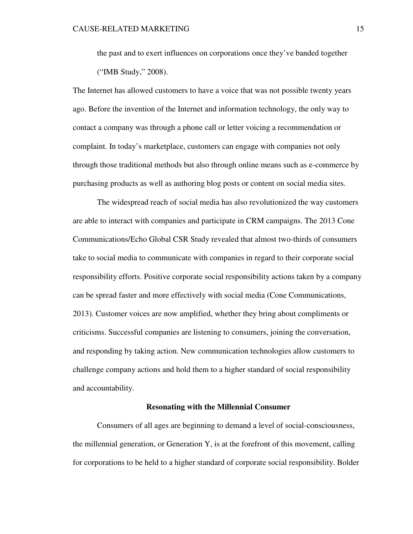the past and to exert influences on corporations once they've banded together ("IMB Study," 2008).

The Internet has allowed customers to have a voice that was not possible twenty years ago. Before the invention of the Internet and information technology, the only way to contact a company was through a phone call or letter voicing a recommendation or complaint. In today's marketplace, customers can engage with companies not only through those traditional methods but also through online means such as e-commerce by purchasing products as well as authoring blog posts or content on social media sites.

The widespread reach of social media has also revolutionized the way customers are able to interact with companies and participate in CRM campaigns. The 2013 Cone Communications/Echo Global CSR Study revealed that almost two-thirds of consumers take to social media to communicate with companies in regard to their corporate social responsibility efforts. Positive corporate social responsibility actions taken by a company can be spread faster and more effectively with social media (Cone Communications, 2013). Customer voices are now amplified, whether they bring about compliments or criticisms. Successful companies are listening to consumers, joining the conversation, and responding by taking action. New communication technologies allow customers to challenge company actions and hold them to a higher standard of social responsibility and accountability.

## **Resonating with the Millennial Consumer**

Consumers of all ages are beginning to demand a level of social-consciousness, the millennial generation, or Generation Y, is at the forefront of this movement, calling for corporations to be held to a higher standard of corporate social responsibility. Bolder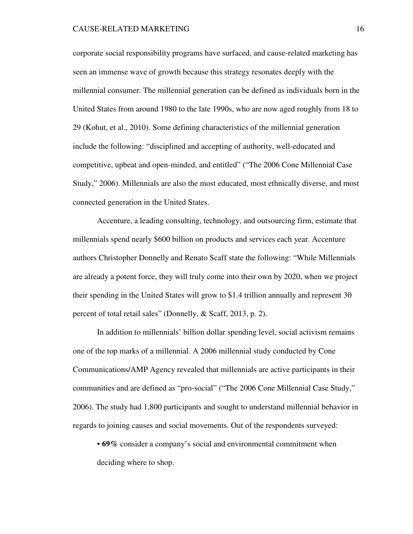corporate social responsibility programs have surfaced, and cause-related marketing has seen an immense wave of growth because this strategy resonates deeply with the millennial consumer. The millennial generation can be defined as individuals born in the United States from around 1980 to the late 1990s, who are now aged roughly from 18 to 29 (Kohut, et al., 2010). Some defining characteristics of the millennial generation include the following: "disciplined and accepting of authority, well-educated and competitive, upbeat and open-minded, and entitled" ("The 2006 Cone Millennial Case Study," 2006). Millennials are also the most educated, most ethnically diverse, and most connected generation in the United States.

Accenture, a leading consulting, technology, and outsourcing firm, estimate that millennials spend nearly \$600 billion on products and services each year. Accenture authors Christopher Donnelly and Renato Scaff state the following: "While Millennials are already a potent force, they will truly come into their own by 2020, when we project their spending in the United States will grow to \$1.4 trillion annually and represent 30 percent of total retail sales" (Donnelly, & Scaff, 2013, p. 2).

In addition to millennials' billion dollar spending level, social activism remains one of the top marks of a millennial. A 2006 millennial study conducted by Cone Communications/AMP Agency revealed that millennials are active participants in their communities and are defined as "pro-social" ("The 2006 Cone Millennial Case Study," 2006). The study had 1,800 participants and sought to understand millennial behavior in regards to joining causes and social movements. Out of the respondents surveyed:

• **69%** consider a company's social and environmental commitment when deciding where to shop.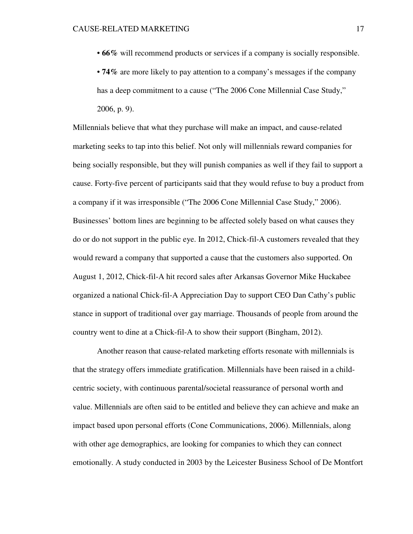• **66%** will recommend products or services if a company is socially responsible.

• **74%** are more likely to pay attention to a company's messages if the company has a deep commitment to a cause ("The 2006 Cone Millennial Case Study," 2006, p. 9).

Millennials believe that what they purchase will make an impact, and cause-related marketing seeks to tap into this belief. Not only will millennials reward companies for being socially responsible, but they will punish companies as well if they fail to support a cause. Forty-five percent of participants said that they would refuse to buy a product from a company if it was irresponsible ("The 2006 Cone Millennial Case Study," 2006). Businesses' bottom lines are beginning to be affected solely based on what causes they do or do not support in the public eye. In 2012, Chick-fil-A customers revealed that they would reward a company that supported a cause that the customers also supported. On August 1, 2012, Chick-fil-A hit record sales after Arkansas Governor Mike Huckabee organized a national Chick-fil-A Appreciation Day to support CEO Dan Cathy's public stance in support of traditional over gay marriage. Thousands of people from around the country went to dine at a Chick-fil-A to show their support (Bingham, 2012).

Another reason that cause-related marketing efforts resonate with millennials is that the strategy offers immediate gratification. Millennials have been raised in a childcentric society, with continuous parental/societal reassurance of personal worth and value. Millennials are often said to be entitled and believe they can achieve and make an impact based upon personal efforts (Cone Communications, 2006). Millennials, along with other age demographics, are looking for companies to which they can connect emotionally. A study conducted in 2003 by the Leicester Business School of De Montfort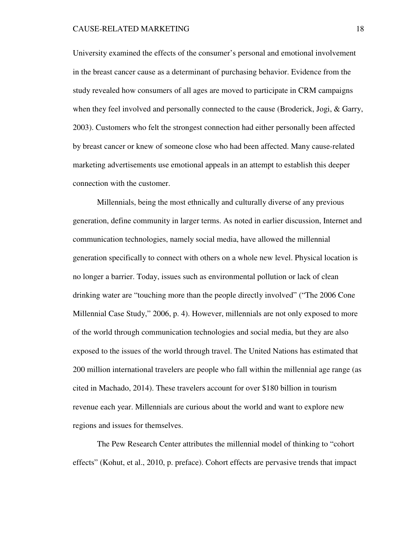University examined the effects of the consumer's personal and emotional involvement in the breast cancer cause as a determinant of purchasing behavior. Evidence from the study revealed how consumers of all ages are moved to participate in CRM campaigns when they feel involved and personally connected to the cause (Broderick, Jogi, & Garry, 2003). Customers who felt the strongest connection had either personally been affected by breast cancer or knew of someone close who had been affected. Many cause-related marketing advertisements use emotional appeals in an attempt to establish this deeper connection with the customer.

Millennials, being the most ethnically and culturally diverse of any previous generation, define community in larger terms. As noted in earlier discussion, Internet and communication technologies, namely social media, have allowed the millennial generation specifically to connect with others on a whole new level. Physical location is no longer a barrier. Today, issues such as environmental pollution or lack of clean drinking water are "touching more than the people directly involved" ("The 2006 Cone Millennial Case Study," 2006, p. 4). However, millennials are not only exposed to more of the world through communication technologies and social media, but they are also exposed to the issues of the world through travel. The United Nations has estimated that 200 million international travelers are people who fall within the millennial age range (as cited in Machado, 2014). These travelers account for over \$180 billion in tourism revenue each year. Millennials are curious about the world and want to explore new regions and issues for themselves.

The Pew Research Center attributes the millennial model of thinking to "cohort effects" (Kohut, et al., 2010, p. preface). Cohort effects are pervasive trends that impact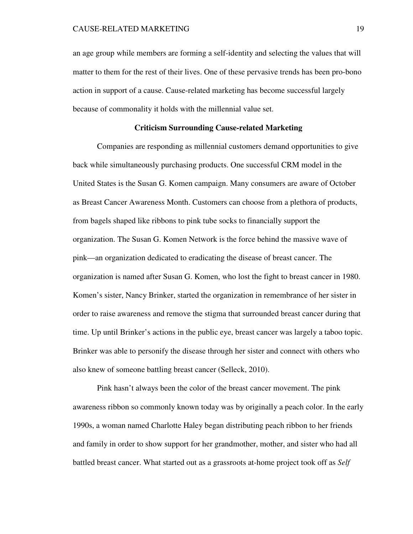an age group while members are forming a self-identity and selecting the values that will matter to them for the rest of their lives. One of these pervasive trends has been pro-bono action in support of a cause. Cause-related marketing has become successful largely because of commonality it holds with the millennial value set.

# **Criticism Surrounding Cause-related Marketing**

Companies are responding as millennial customers demand opportunities to give back while simultaneously purchasing products. One successful CRM model in the United States is the Susan G. Komen campaign. Many consumers are aware of October as Breast Cancer Awareness Month. Customers can choose from a plethora of products, from bagels shaped like ribbons to pink tube socks to financially support the organization. The Susan G. Komen Network is the force behind the massive wave of pink—an organization dedicated to eradicating the disease of breast cancer. The organization is named after Susan G. Komen, who lost the fight to breast cancer in 1980. Komen's sister, Nancy Brinker, started the organization in remembrance of her sister in order to raise awareness and remove the stigma that surrounded breast cancer during that time. Up until Brinker's actions in the public eye, breast cancer was largely a taboo topic. Brinker was able to personify the disease through her sister and connect with others who also knew of someone battling breast cancer (Selleck, 2010).

Pink hasn't always been the color of the breast cancer movement. The pink awareness ribbon so commonly known today was by originally a peach color. In the early 1990s, a woman named Charlotte Haley began distributing peach ribbon to her friends and family in order to show support for her grandmother, mother, and sister who had all battled breast cancer. What started out as a grassroots at-home project took off as *Self*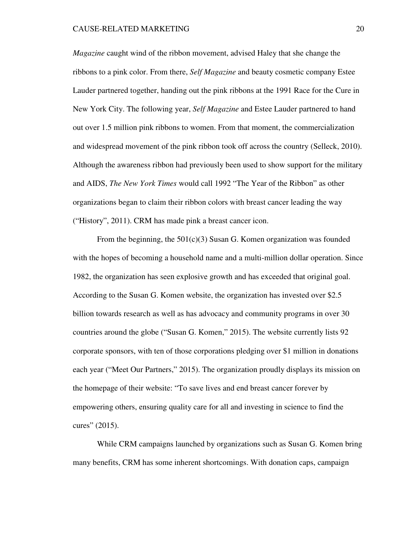*Magazine* caught wind of the ribbon movement, advised Haley that she change the ribbons to a pink color. From there, *Self Magazine* and beauty cosmetic company Estee Lauder partnered together, handing out the pink ribbons at the 1991 Race for the Cure in New York City. The following year, *Self Magazine* and Estee Lauder partnered to hand out over 1.5 million pink ribbons to women. From that moment, the commercialization and widespread movement of the pink ribbon took off across the country (Selleck, 2010). Although the awareness ribbon had previously been used to show support for the military and AIDS, *The New York Times* would call 1992 "The Year of the Ribbon" as other organizations began to claim their ribbon colors with breast cancer leading the way ("History", 2011). CRM has made pink a breast cancer icon.

From the beginning, the  $501(c)(3)$  Susan G. Komen organization was founded with the hopes of becoming a household name and a multi-million dollar operation. Since 1982, the organization has seen explosive growth and has exceeded that original goal. According to the Susan G. Komen website, the organization has invested over \$2.5 billion towards research as well as has advocacy and community programs in over 30 countries around the globe ("Susan G. Komen," 2015). The website currently lists 92 corporate sponsors, with ten of those corporations pledging over \$1 million in donations each year ("Meet Our Partners," 2015). The organization proudly displays its mission on the homepage of their website: "To save lives and end breast cancer forever by empowering others, ensuring quality care for all and investing in science to find the cures" (2015).

While CRM campaigns launched by organizations such as Susan G. Komen bring many benefits, CRM has some inherent shortcomings. With donation caps, campaign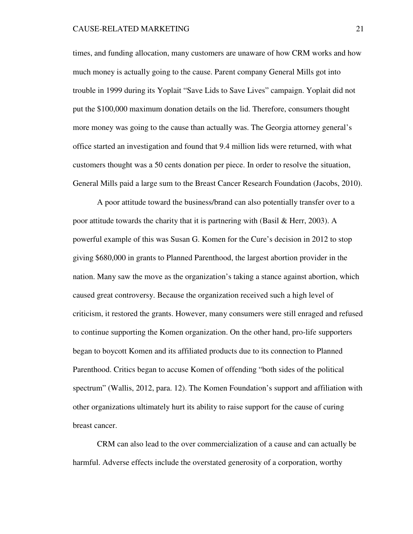times, and funding allocation, many customers are unaware of how CRM works and how much money is actually going to the cause. Parent company General Mills got into trouble in 1999 during its Yoplait "Save Lids to Save Lives" campaign. Yoplait did not put the \$100,000 maximum donation details on the lid. Therefore, consumers thought more money was going to the cause than actually was. The Georgia attorney general's office started an investigation and found that 9.4 million lids were returned, with what customers thought was a 50 cents donation per piece. In order to resolve the situation, General Mills paid a large sum to the Breast Cancer Research Foundation (Jacobs, 2010).

A poor attitude toward the business/brand can also potentially transfer over to a poor attitude towards the charity that it is partnering with (Basil  $&$  Herr, 2003). A powerful example of this was Susan G. Komen for the Cure's decision in 2012 to stop giving \$680,000 in grants to Planned Parenthood, the largest abortion provider in the nation. Many saw the move as the organization's taking a stance against abortion, which caused great controversy. Because the organization received such a high level of criticism, it restored the grants. However, many consumers were still enraged and refused to continue supporting the Komen organization. On the other hand, pro-life supporters began to boycott Komen and its affiliated products due to its connection to Planned Parenthood. Critics began to accuse Komen of offending "both sides of the political spectrum" (Wallis, 2012, para. 12). The Komen Foundation's support and affiliation with other organizations ultimately hurt its ability to raise support for the cause of curing breast cancer.

CRM can also lead to the over commercialization of a cause and can actually be harmful. Adverse effects include the overstated generosity of a corporation, worthy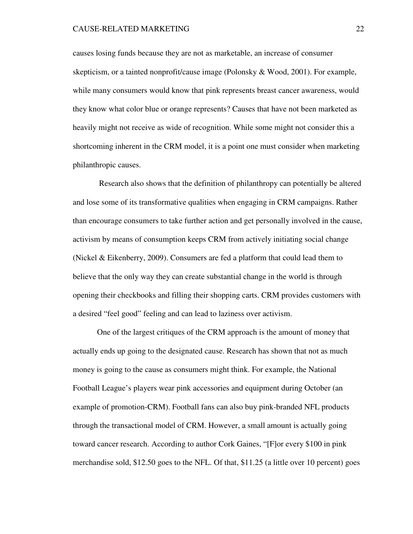### CAUSE-RELATED MARKETING 22

causes losing funds because they are not as marketable, an increase of consumer skepticism, or a tainted nonprofit/cause image (Polonsky & Wood, 2001). For example, while many consumers would know that pink represents breast cancer awareness, would they know what color blue or orange represents? Causes that have not been marketed as heavily might not receive as wide of recognition. While some might not consider this a shortcoming inherent in the CRM model, it is a point one must consider when marketing philanthropic causes.

Research also shows that the definition of philanthropy can potentially be altered and lose some of its transformative qualities when engaging in CRM campaigns. Rather than encourage consumers to take further action and get personally involved in the cause, activism by means of consumption keeps CRM from actively initiating social change (Nickel & Eikenberry, 2009). Consumers are fed a platform that could lead them to believe that the only way they can create substantial change in the world is through opening their checkbooks and filling their shopping carts. CRM provides customers with a desired "feel good" feeling and can lead to laziness over activism.

One of the largest critiques of the CRM approach is the amount of money that actually ends up going to the designated cause. Research has shown that not as much money is going to the cause as consumers might think. For example, the National Football League's players wear pink accessories and equipment during October (an example of promotion-CRM). Football fans can also buy pink-branded NFL products through the transactional model of CRM. However, a small amount is actually going toward cancer research. According to author Cork Gaines, "[F]or every \$100 in pink merchandise sold, \$12.50 goes to the NFL. Of that, \$11.25 (a little over 10 percent) goes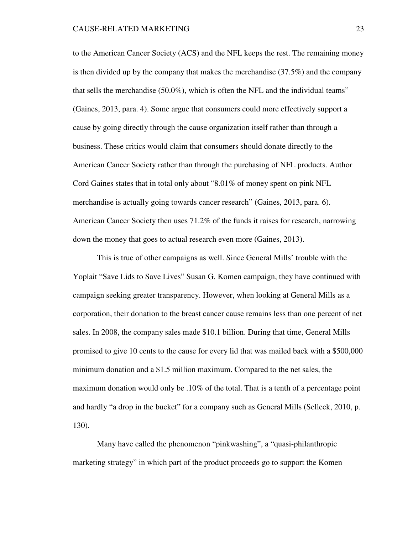to the American Cancer Society (ACS) and the NFL keeps the rest. The remaining money is then divided up by the company that makes the merchandise (37.5%) and the company that sells the merchandise (50.0%), which is often the NFL and the individual teams" (Gaines, 2013, para. 4). Some argue that consumers could more effectively support a cause by going directly through the cause organization itself rather than through a business. These critics would claim that consumers should donate directly to the American Cancer Society rather than through the purchasing of NFL products. Author Cord Gaines states that in total only about "8.01% of money spent on pink NFL merchandise is actually going towards cancer research" (Gaines, 2013, para. 6). American Cancer Society then uses 71.2% of the funds it raises for research, narrowing down the money that goes to actual research even more (Gaines, 2013).

This is true of other campaigns as well. Since General Mills' trouble with the Yoplait "Save Lids to Save Lives" Susan G. Komen campaign, they have continued with campaign seeking greater transparency. However, when looking at General Mills as a corporation, their donation to the breast cancer cause remains less than one percent of net sales. In 2008, the company sales made \$10.1 billion. During that time, General Mills promised to give 10 cents to the cause for every lid that was mailed back with a \$500,000 minimum donation and a \$1.5 million maximum. Compared to the net sales, the maximum donation would only be .10% of the total. That is a tenth of a percentage point and hardly "a drop in the bucket" for a company such as General Mills (Selleck, 2010, p. 130).

Many have called the phenomenon "pinkwashing", a "quasi-philanthropic marketing strategy" in which part of the product proceeds go to support the Komen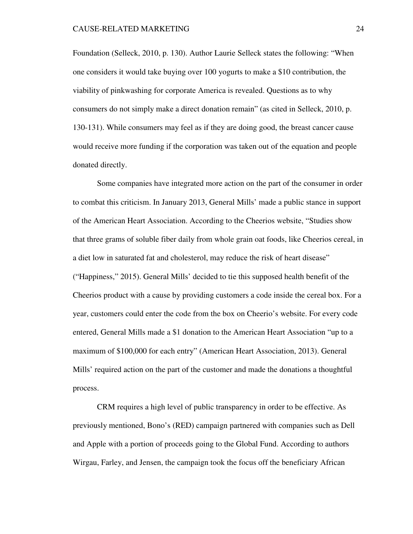Foundation (Selleck, 2010, p. 130). Author Laurie Selleck states the following: "When one considers it would take buying over 100 yogurts to make a \$10 contribution, the viability of pinkwashing for corporate America is revealed. Questions as to why consumers do not simply make a direct donation remain" (as cited in Selleck, 2010, p. 130-131). While consumers may feel as if they are doing good, the breast cancer cause would receive more funding if the corporation was taken out of the equation and people donated directly.

Some companies have integrated more action on the part of the consumer in order to combat this criticism. In January 2013, General Mills' made a public stance in support of the American Heart Association. According to the Cheerios website, "Studies show that three grams of soluble fiber daily from whole grain oat foods, like Cheerios cereal, in a diet low in saturated fat and cholesterol, may reduce the risk of heart disease" ("Happiness," 2015). General Mills' decided to tie this supposed health benefit of the Cheerios product with a cause by providing customers a code inside the cereal box. For a year, customers could enter the code from the box on Cheerio's website. For every code entered, General Mills made a \$1 donation to the American Heart Association "up to a maximum of \$100,000 for each entry" (American Heart Association, 2013). General Mills' required action on the part of the customer and made the donations a thoughtful process.

CRM requires a high level of public transparency in order to be effective. As previously mentioned, Bono's (RED) campaign partnered with companies such as Dell and Apple with a portion of proceeds going to the Global Fund. According to authors Wirgau, Farley, and Jensen, the campaign took the focus off the beneficiary African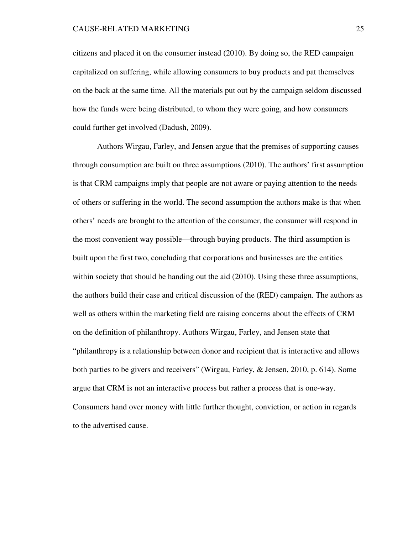citizens and placed it on the consumer instead (2010). By doing so, the RED campaign capitalized on suffering, while allowing consumers to buy products and pat themselves on the back at the same time. All the materials put out by the campaign seldom discussed how the funds were being distributed, to whom they were going, and how consumers could further get involved (Dadush, 2009).

 Authors Wirgau, Farley, and Jensen argue that the premises of supporting causes through consumption are built on three assumptions (2010). The authors' first assumption is that CRM campaigns imply that people are not aware or paying attention to the needs of others or suffering in the world. The second assumption the authors make is that when others' needs are brought to the attention of the consumer, the consumer will respond in the most convenient way possible—through buying products. The third assumption is built upon the first two, concluding that corporations and businesses are the entities within society that should be handing out the aid (2010). Using these three assumptions, the authors build their case and critical discussion of the (RED) campaign. The authors as well as others within the marketing field are raising concerns about the effects of CRM on the definition of philanthropy. Authors Wirgau, Farley, and Jensen state that "philanthropy is a relationship between donor and recipient that is interactive and allows both parties to be givers and receivers" (Wirgau, Farley, & Jensen, 2010, p. 614). Some argue that CRM is not an interactive process but rather a process that is one-way. Consumers hand over money with little further thought, conviction, or action in regards to the advertised cause.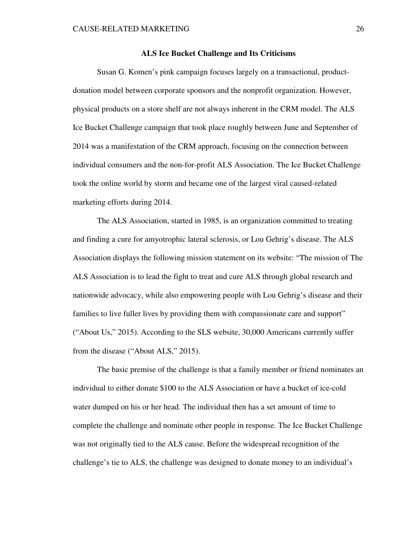## **ALS Ice Bucket Challenge and Its Criticisms**

Susan G. Komen's pink campaign focuses largely on a transactional, productdonation model between corporate sponsors and the nonprofit organization. However, physical products on a store shelf are not always inherent in the CRM model. The ALS Ice Bucket Challenge campaign that took place roughly between June and September of 2014 was a manifestation of the CRM approach, focusing on the connection between individual consumers and the non-for-profit ALS Association. The Ice Bucket Challenge took the online world by storm and became one of the largest viral caused-related marketing efforts during 2014.

The ALS Association, started in 1985, is an organization committed to treating and finding a cure for amyotrophic lateral sclerosis, or Lou Gehrig's disease. The ALS Association displays the following mission statement on its website: "The mission of The ALS Association is to lead the fight to treat and cure ALS through global research and nationwide advocacy, while also empowering people with Lou Gehrig's disease and their families to live fuller lives by providing them with compassionate care and support" ("About Us," 2015). According to the SLS website, 30,000 Americans currently suffer from the disease ("About ALS," 2015).

The basic premise of the challenge is that a family member or friend nominates an individual to either donate \$100 to the ALS Association or have a bucket of ice-cold water dumped on his or her head. The individual then has a set amount of time to complete the challenge and nominate other people in response. The Ice Bucket Challenge was not originally tied to the ALS cause. Before the widespread recognition of the challenge's tie to ALS, the challenge was designed to donate money to an individual's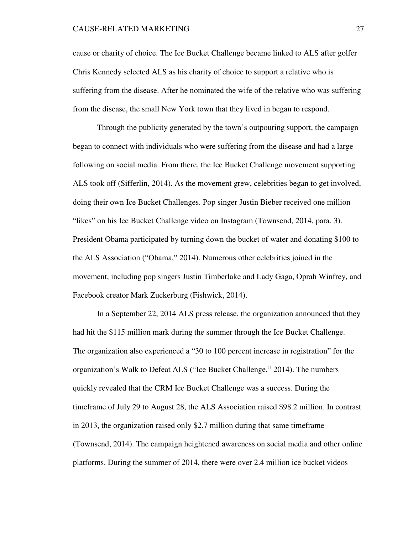cause or charity of choice. The Ice Bucket Challenge became linked to ALS after golfer Chris Kennedy selected ALS as his charity of choice to support a relative who is suffering from the disease. After he nominated the wife of the relative who was suffering from the disease, the small New York town that they lived in began to respond.

Through the publicity generated by the town's outpouring support, the campaign began to connect with individuals who were suffering from the disease and had a large following on social media. From there, the Ice Bucket Challenge movement supporting ALS took off (Sifferlin, 2014). As the movement grew, celebrities began to get involved, doing their own Ice Bucket Challenges. Pop singer Justin Bieber received one million "likes" on his Ice Bucket Challenge video on Instagram (Townsend, 2014, para. 3). President Obama participated by turning down the bucket of water and donating \$100 to the ALS Association ("Obama," 2014). Numerous other celebrities joined in the movement, including pop singers Justin Timberlake and Lady Gaga, Oprah Winfrey, and Facebook creator Mark Zuckerburg (Fishwick, 2014).

In a September 22, 2014 ALS press release, the organization announced that they had hit the \$115 million mark during the summer through the Ice Bucket Challenge. The organization also experienced a "30 to 100 percent increase in registration" for the organization's Walk to Defeat ALS ("Ice Bucket Challenge," 2014). The numbers quickly revealed that the CRM Ice Bucket Challenge was a success. During the timeframe of July 29 to August 28, the ALS Association raised \$98.2 million. In contrast in 2013, the organization raised only \$2.7 million during that same timeframe (Townsend, 2014). The campaign heightened awareness on social media and other online platforms. During the summer of 2014, there were over 2.4 million ice bucket videos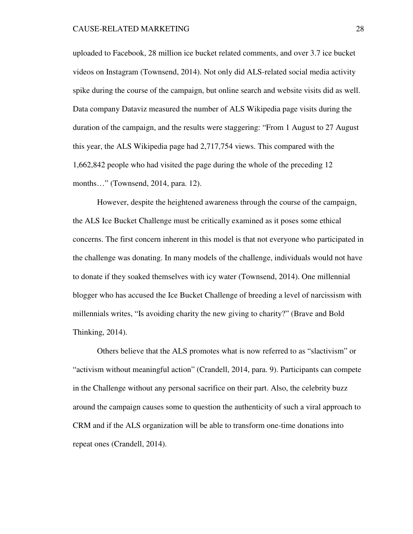uploaded to Facebook, 28 million ice bucket related comments, and over 3.7 ice bucket videos on Instagram (Townsend, 2014). Not only did ALS-related social media activity spike during the course of the campaign, but online search and website visits did as well. Data company Dataviz measured the number of ALS Wikipedia page visits during the duration of the campaign, and the results were staggering: "From 1 August to 27 August this year, the ALS Wikipedia page had 2,717,754 views. This compared with the 1,662,842 people who had visited the page during the whole of the preceding 12 months…" (Townsend, 2014, para. 12).

However, despite the heightened awareness through the course of the campaign, the ALS Ice Bucket Challenge must be critically examined as it poses some ethical concerns. The first concern inherent in this model is that not everyone who participated in the challenge was donating. In many models of the challenge, individuals would not have to donate if they soaked themselves with icy water (Townsend, 2014). One millennial blogger who has accused the Ice Bucket Challenge of breeding a level of narcissism with millennials writes, "Is avoiding charity the new giving to charity?" (Brave and Bold Thinking, 2014).

Others believe that the ALS promotes what is now referred to as "slactivism" or "activism without meaningful action" (Crandell, 2014, para. 9). Participants can compete in the Challenge without any personal sacrifice on their part. Also, the celebrity buzz around the campaign causes some to question the authenticity of such a viral approach to CRM and if the ALS organization will be able to transform one-time donations into repeat ones (Crandell, 2014).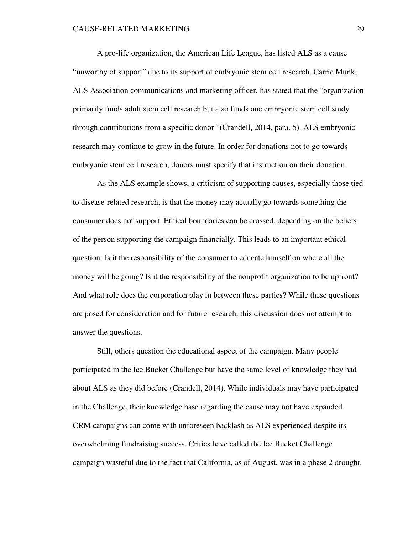A pro-life organization, the American Life League, has listed ALS as a cause "unworthy of support" due to its support of embryonic stem cell research. Carrie Munk, ALS Association communications and marketing officer, has stated that the "organization primarily funds adult stem cell research but also funds one embryonic stem cell study through contributions from a specific donor" (Crandell, 2014, para. 5). ALS embryonic research may continue to grow in the future. In order for donations not to go towards embryonic stem cell research, donors must specify that instruction on their donation.

As the ALS example shows, a criticism of supporting causes, especially those tied to disease-related research, is that the money may actually go towards something the consumer does not support. Ethical boundaries can be crossed, depending on the beliefs of the person supporting the campaign financially. This leads to an important ethical question: Is it the responsibility of the consumer to educate himself on where all the money will be going? Is it the responsibility of the nonprofit organization to be upfront? And what role does the corporation play in between these parties? While these questions are posed for consideration and for future research, this discussion does not attempt to answer the questions.

Still, others question the educational aspect of the campaign. Many people participated in the Ice Bucket Challenge but have the same level of knowledge they had about ALS as they did before (Crandell, 2014). While individuals may have participated in the Challenge, their knowledge base regarding the cause may not have expanded. CRM campaigns can come with unforeseen backlash as ALS experienced despite its overwhelming fundraising success. Critics have called the Ice Bucket Challenge campaign wasteful due to the fact that California, as of August, was in a phase 2 drought.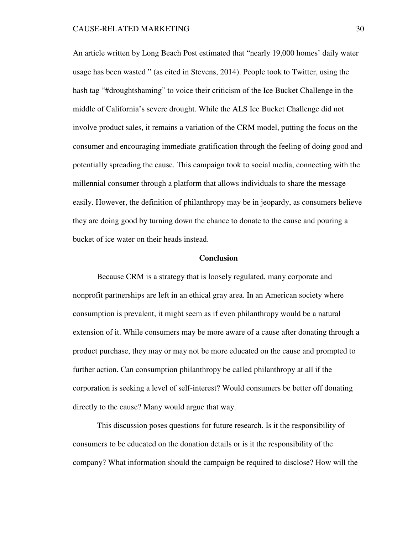An article written by Long Beach Post estimated that "nearly 19,000 homes' daily water usage has been wasted " (as cited in Stevens, 2014). People took to Twitter, using the hash tag "#droughtshaming" to voice their criticism of the Ice Bucket Challenge in the middle of California's severe drought. While the ALS Ice Bucket Challenge did not involve product sales, it remains a variation of the CRM model, putting the focus on the consumer and encouraging immediate gratification through the feeling of doing good and potentially spreading the cause. This campaign took to social media, connecting with the millennial consumer through a platform that allows individuals to share the message easily. However, the definition of philanthropy may be in jeopardy, as consumers believe they are doing good by turning down the chance to donate to the cause and pouring a bucket of ice water on their heads instead.

### **Conclusion**

Because CRM is a strategy that is loosely regulated, many corporate and nonprofit partnerships are left in an ethical gray area. In an American society where consumption is prevalent, it might seem as if even philanthropy would be a natural extension of it. While consumers may be more aware of a cause after donating through a product purchase, they may or may not be more educated on the cause and prompted to further action. Can consumption philanthropy be called philanthropy at all if the corporation is seeking a level of self-interest? Would consumers be better off donating directly to the cause? Many would argue that way.

This discussion poses questions for future research. Is it the responsibility of consumers to be educated on the donation details or is it the responsibility of the company? What information should the campaign be required to disclose? How will the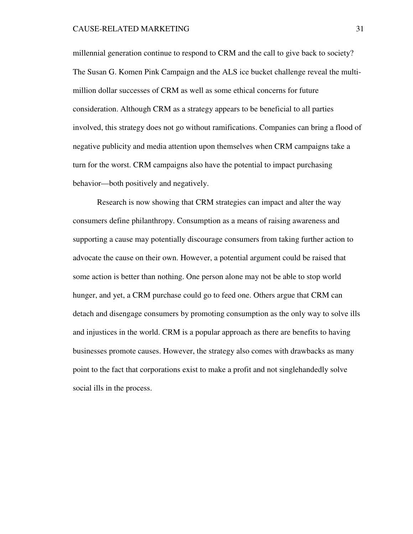millennial generation continue to respond to CRM and the call to give back to society? The Susan G. Komen Pink Campaign and the ALS ice bucket challenge reveal the multimillion dollar successes of CRM as well as some ethical concerns for future consideration. Although CRM as a strategy appears to be beneficial to all parties involved, this strategy does not go without ramifications. Companies can bring a flood of negative publicity and media attention upon themselves when CRM campaigns take a turn for the worst. CRM campaigns also have the potential to impact purchasing behavior—both positively and negatively.

Research is now showing that CRM strategies can impact and alter the way consumers define philanthropy. Consumption as a means of raising awareness and supporting a cause may potentially discourage consumers from taking further action to advocate the cause on their own. However, a potential argument could be raised that some action is better than nothing. One person alone may not be able to stop world hunger, and yet, a CRM purchase could go to feed one. Others argue that CRM can detach and disengage consumers by promoting consumption as the only way to solve ills and injustices in the world. CRM is a popular approach as there are benefits to having businesses promote causes. However, the strategy also comes with drawbacks as many point to the fact that corporations exist to make a profit and not singlehandedly solve social ills in the process.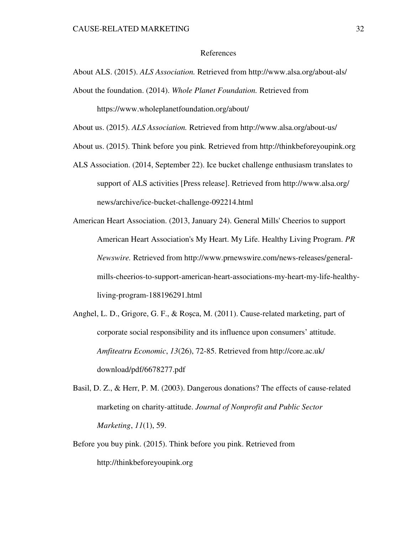### References

About ALS. (2015). *ALS Association.* Retrieved from http://www.alsa.org/about-als/

About the foundation. (2014). *Whole Planet Foundation.* Retrieved from

https://www.wholeplanetfoundation.org/about/

About us. (2015). *ALS Association.* Retrieved from http://www.alsa.org/about-us/

About us. (2015). Think before you pink*.* Retrieved from http://thinkbeforeyoupink.org

- ALS Association. (2014, September 22). Ice bucket challenge enthusiasm translates to support of ALS activities [Press release]. Retrieved from http://www.alsa.org/ news/archive/ice-bucket-challenge-092214.html
- American Heart Association. (2013, January 24). General Mills' Cheerios to support American Heart Association's My Heart. My Life. Healthy Living Program. *PR Newswire.* Retrieved from http://www.prnewswire.com/news-releases/generalmills-cheerios-to-support-american-heart-associations-my-heart-my-life-healthyliving-program-188196291.html
- Anghel, L. D., Grigore, G. F., & Roşca, M. (2011). Cause-related marketing, part of corporate social responsibility and its influence upon consumers' attitude. *Amfiteatru Economic*, *13*(26), 72-85. Retrieved from http://core.ac.uk/ download/pdf/6678277.pdf
- Basil, D. Z., & Herr, P. M. (2003). Dangerous donations? The effects of cause-related marketing on charity-attitude. *Journal of Nonprofit and Public Sector Marketing*, *11*(1), 59.
- Before you buy pink. (2015). Think before you pink. Retrieved from http://thinkbeforeyoupink.org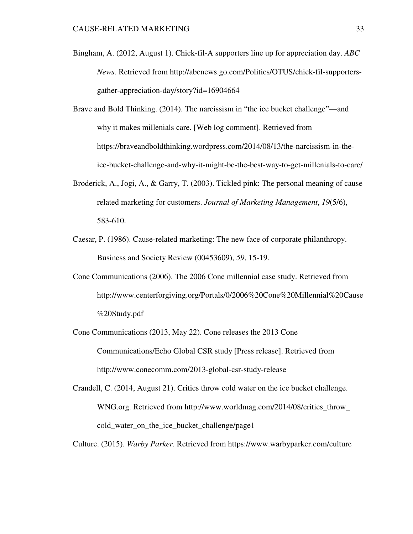- Bingham, A. (2012, August 1). Chick-fil-A supporters line up for appreciation day. *ABC News.* Retrieved from http://abcnews.go.com/Politics/OTUS/chick-fil-supportersgather-appreciation-day/story?id=16904664
- Brave and Bold Thinking. (2014). The narcissism in "the ice bucket challenge"—and why it makes millenials care. [Web log comment]. Retrieved from https://braveandboldthinking.wordpress.com/2014/08/13/the-narcissism-in-theice-bucket-challenge-and-why-it-might-be-the-best-way-to-get-millenials-to-care/
- Broderick, A., Jogi, A., & Garry, T. (2003). Tickled pink: The personal meaning of cause related marketing for customers. *Journal of Marketing Management*, *19*(5/6), 583-610.
- Caesar, P. (1986). Cause-related marketing: The new face of corporate philanthropy. Business and Society Review (00453609), *59*, 15-19.
- Cone Communications (2006). The 2006 Cone millennial case study. Retrieved from http://www.centerforgiving.org/Portals/0/2006%20Cone%20Millennial%20Cause %20Study.pdf
- Cone Communications (2013, May 22). Cone releases the 2013 Cone Communications/Echo Global CSR study [Press release]. Retrieved from http://www.conecomm.com/2013-global-csr-study-release
- Crandell, C. (2014, August 21). Critics throw cold water on the ice bucket challenge. WNG.org. Retrieved from http://www.worldmag.com/2014/08/critics\_throw\_ cold\_water\_on\_the\_ice\_bucket\_challenge/page1
- Culture. (2015). *Warby Parker.* Retrieved from https://www.warbyparker.com/culture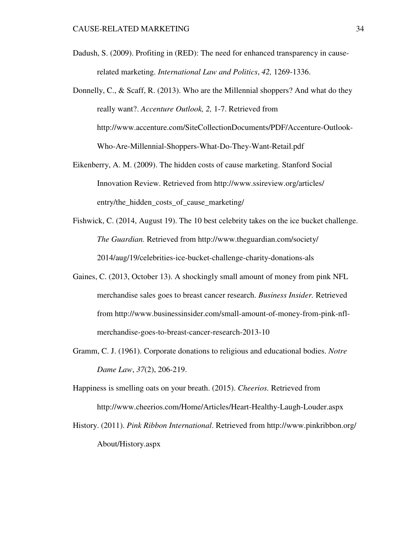- Dadush, S. (2009). Profiting in (RED): The need for enhanced transparency in causerelated marketing. *International Law and Politics*, *42,* 1269-1336.
- Donnelly, C., & Scaff, R. (2013). Who are the Millennial shoppers? And what do they really want?. *Accenture Outlook, 2,* 1-7. Retrieved from http://www.accenture.com/SiteCollectionDocuments/PDF/Accenture-Outlook-Who-Are-Millennial-Shoppers-What-Do-They-Want-Retail.pdf
- Eikenberry, A. M. (2009). The hidden costs of cause marketing. Stanford Social Innovation Review. Retrieved from http://www.ssireview.org/articles/ entry/the\_hidden\_costs\_of\_cause\_marketing/
- Fishwick, C. (2014, August 19). The 10 best celebrity takes on the ice bucket challenge. *The Guardian.* Retrieved from http://www.theguardian.com/society/ 2014/aug/19/celebrities-ice-bucket-challenge-charity-donations-als
- Gaines, C. (2013, October 13). A shockingly small amount of money from pink NFL merchandise sales goes to breast cancer research. *Business Insider.* Retrieved from http://www.businessinsider.com/small-amount-of-money-from-pink-nflmerchandise-goes-to-breast-cancer-research-2013-10
- Gramm, C. J. (1961). Corporate donations to religious and educational bodies. *Notre Dame Law*, *37*(2), 206-219.

Happiness is smelling oats on your breath. (2015). *Cheerios.* Retrieved from http://www.cheerios.com/Home/Articles/Heart-Healthy-Laugh-Louder.aspx

History. (2011). *Pink Ribbon International*. Retrieved from http://www.pinkribbon.org/ About/History.aspx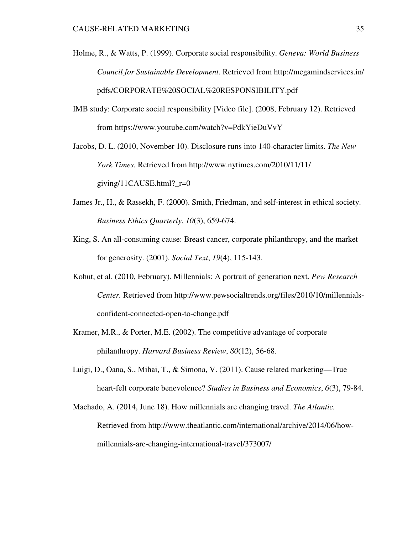Holme, R., & Watts, P. (1999). Corporate social responsibility. *Geneva: World Business Council for Sustainable Development*. Retrieved from http://megamindservices.in/ pdfs/CORPORATE%20SOCIAL%20RESPONSIBILITY.pdf

IMB study: Corporate social responsibility [Video file]. (2008, February 12). Retrieved from https://www.youtube.com/watch?v=PdkYieDuVvY

Jacobs, D. L. (2010, November 10). Disclosure runs into 140-character limits. *The New York Times.* Retrieved from http://www.nytimes.com/2010/11/11/ giving/11CAUSE.html? $r=0$ 

- James Jr., H., & Rassekh, F. (2000). Smith, Friedman, and self-interest in ethical society. *Business Ethics Quarterly*, *10*(3), 659-674.
- King, S. An all-consuming cause: Breast cancer, corporate philanthropy, and the market for generosity. (2001). *Social Text*, *19*(4), 115-143.
- Kohut, et al. (2010, February). Millennials: A portrait of generation next. *Pew Research Center.* Retrieved from http://www.pewsocialtrends.org/files/2010/10/millennialsconfident-connected-open-to-change.pdf
- Kramer, M.R., & Porter, M.E. (2002). The competitive advantage of corporate philanthropy. *Harvard Business Review*, *80*(12), 56-68.
- Luigi, D., Oana, S., Mihai, T., & Simona, V. (2011). Cause related marketing—True heart-felt corporate benevolence? *Studies in Business and Economics*, *6*(3), 79-84.
- Machado, A. (2014, June 18). How millennials are changing travel. *The Atlantic.*  Retrieved from http://www.theatlantic.com/international/archive/2014/06/howmillennials-are-changing-international-travel/373007/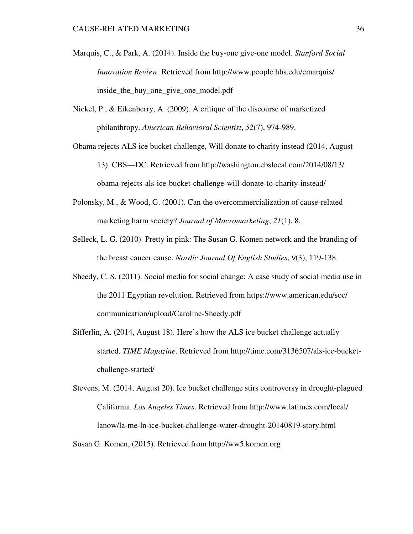- Marquis, C., & Park, A. (2014). Inside the buy-one give-one model. *Stanford Social Innovation Review.* Retrieved from http://www.people.hbs.edu/cmarquis/ inside the buy one give one model.pdf
- Nickel, P., & Eikenberry, A. (2009). A critique of the discourse of marketized philanthropy. *American Behavioral Scientist*, *52*(7), 974-989.
- Obama rejects ALS ice bucket challenge, Will donate to charity instead (2014, August 13). CBS—DC. Retrieved from http://washington.cbslocal.com/2014/08/13/ obama-rejects-als-ice-bucket-challenge-will-donate-to-charity-instead/
- Polonsky, M., & Wood, G. (2001). Can the overcommercialization of cause-related marketing harm society? *Journal of Macromarketing*, *21*(1), 8.
- Selleck, L. G. (2010). Pretty in pink: The Susan G. Komen network and the branding of the breast cancer cause. *Nordic Journal Of English Studies*, *9*(3), 119-138.
- Sheedy, C. S. (2011). Social media for social change: A case study of social media use in the 2011 Egyptian revolution. Retrieved from https://www.american.edu/soc/ communication/upload/Caroline-Sheedy.pdf
- Sifferlin, A. (2014, August 18). Here's how the ALS ice bucket challenge actually started. *TIME Magazine*. Retrieved from http://time.com/3136507/als-ice-bucketchallenge-started/
- Stevens, M. (2014, August 20). Ice bucket challenge stirs controversy in drought-plagued California. *Los Angeles Times*. Retrieved from http://www.latimes.com/local/ lanow/la-me-ln-ice-bucket-challenge-water-drought-20140819-story.html

Susan G. Komen, (2015). Retrieved from http://ww5.komen.org